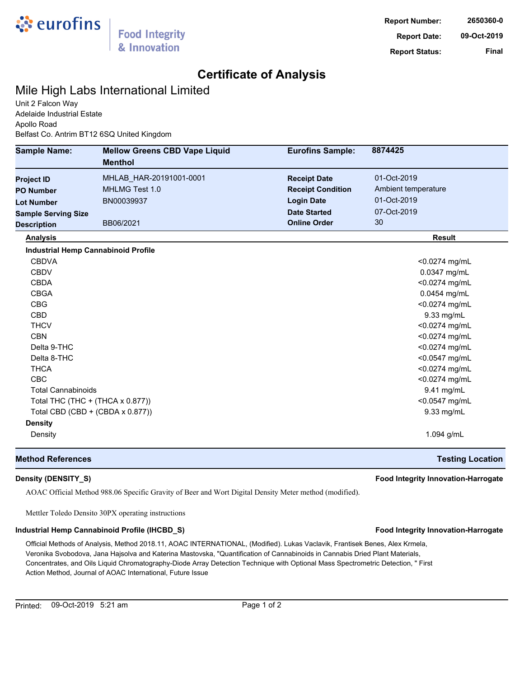

## **Certificate of Analysis**

## Mile High Labs International Limited

Unit 2 Falcon Way Adelaide Industrial Estate Apollo Road Belfast Co. Antrim BT12 6SQ United Kingdom

| <b>Sample Name:</b>              | <b>Mellow Greens CBD Vape Liquid</b><br><b>Menthol</b> | <b>Eurofins Sample:</b>  | 8874425                 |
|----------------------------------|--------------------------------------------------------|--------------------------|-------------------------|
| <b>Project ID</b>                | MHLAB_HAR-20191001-0001                                | <b>Receipt Date</b>      | 01-Oct-2019             |
| <b>PO Number</b>                 | MHLMG Test 1.0                                         | <b>Receipt Condition</b> | Ambient temperature     |
| <b>Lot Number</b>                | BN00039937                                             | <b>Login Date</b>        | 01-Oct-2019             |
| <b>Sample Serving Size</b>       |                                                        | <b>Date Started</b>      | 07-Oct-2019             |
| <b>Description</b>               | BB06/2021                                              | <b>Online Order</b>      | 30                      |
| <b>Analysis</b>                  |                                                        |                          | <b>Result</b>           |
|                                  | <b>Industrial Hemp Cannabinoid Profile</b>             |                          |                         |
| <b>CBDVA</b>                     |                                                        |                          | <0.0274 mg/mL           |
| <b>CBDV</b>                      |                                                        |                          | 0.0347 mg/mL            |
| <b>CBDA</b>                      |                                                        |                          | <0.0274 mg/mL           |
| <b>CBGA</b>                      |                                                        |                          | 0.0454 mg/mL            |
| <b>CBG</b>                       |                                                        |                          | <0.0274 mg/mL           |
| <b>CBD</b>                       |                                                        |                          | 9.33 mg/mL              |
| <b>THCV</b>                      |                                                        |                          | <0.0274 mg/mL           |
| <b>CBN</b>                       |                                                        |                          | <0.0274 mg/mL           |
| Delta 9-THC                      |                                                        |                          | <0.0274 mg/mL           |
| Delta 8-THC                      |                                                        |                          | <0.0547 mg/mL           |
| <b>THCA</b>                      |                                                        |                          | <0.0274 mg/mL           |
| <b>CBC</b>                       |                                                        |                          | <0.0274 mg/mL           |
| <b>Total Cannabinoids</b>        |                                                        |                          | 9.41 mg/mL              |
| Total THC (THC + (THCA x 0.877)) |                                                        |                          | <0.0547 mg/mL           |
|                                  | Total CBD (CBD + (CBDA x 0.877))                       |                          | 9.33 mg/mL              |
| <b>Density</b>                   |                                                        |                          |                         |
| Density                          |                                                        |                          | 1.094 g/mL              |
| <b>Method References</b>         |                                                        |                          | <b>Testing Location</b> |

### **Density (DENSITY\_S) Food Integrity Innovation-Harrogate**

AOAC Official Method 988.06 Specific Gravity of Beer and Wort Digital Density Meter method (modified).

Mettler Toledo Densito 30PX operating instructions

### **Industrial Hemp Cannabinoid Profile (IHCBD\_S) Food Integrity Innovation-Harrogate**

Official Methods of Analysis, Method 2018.11, AOAC INTERNATIONAL, (Modified). Lukas Vaclavik, Frantisek Benes, Alex Krmela, Veronika Svobodova, Jana Hajsolva and Katerina Mastovska, "Quantification of Cannabinoids in Cannabis Dried Plant Materials, Concentrates, and Oils Liquid Chromatography-Diode Array Detection Technique with Optional Mass Spectrometric Detection, " First Action Method, Journal of AOAC International, Future Issue